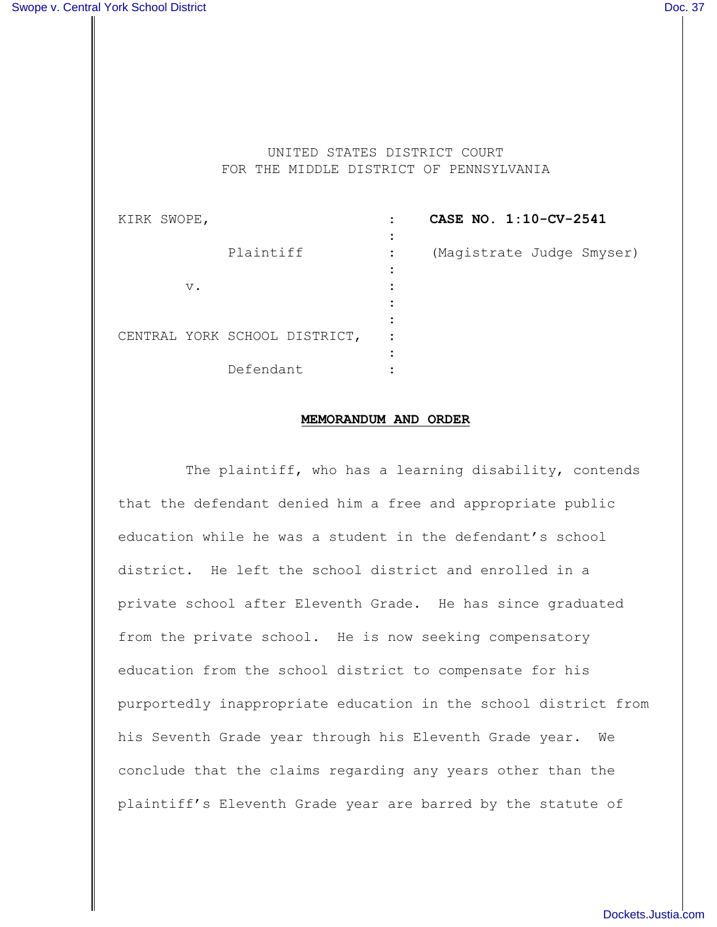UNITED STATES DISTRICT COURT FOR THE MIDDLE DISTRICT OF PENNSYLVANIA

| KIRK SWOPE, |       |                               |           | CASE NO. 1:10-CV-2541     |
|-------------|-------|-------------------------------|-----------|---------------------------|
|             |       | Plaintiff                     | $\bullet$ | (Magistrate Judge Smyser) |
|             | $V$ . |                               |           |                           |
|             |       |                               |           |                           |
|             |       | CENTRAL YORK SCHOOL DISTRICT, |           |                           |
|             |       | Defendant                     |           |                           |

## **MEMORANDUM AND ORDER**

The plaintiff, who has a learning disability, contends that the defendant denied him a free and appropriate public education while he was a student in the defendant's school district. He left the school district and enrolled in a private school after Eleventh Grade. He has since graduated from the private school. He is now seeking compensatory education from the school district to compensate for his purportedly inappropriate education in the school district from his Seventh Grade year through his Eleventh Grade year. We conclude that the claims regarding any years other than the plaintiff's Eleventh Grade year are barred by the statute of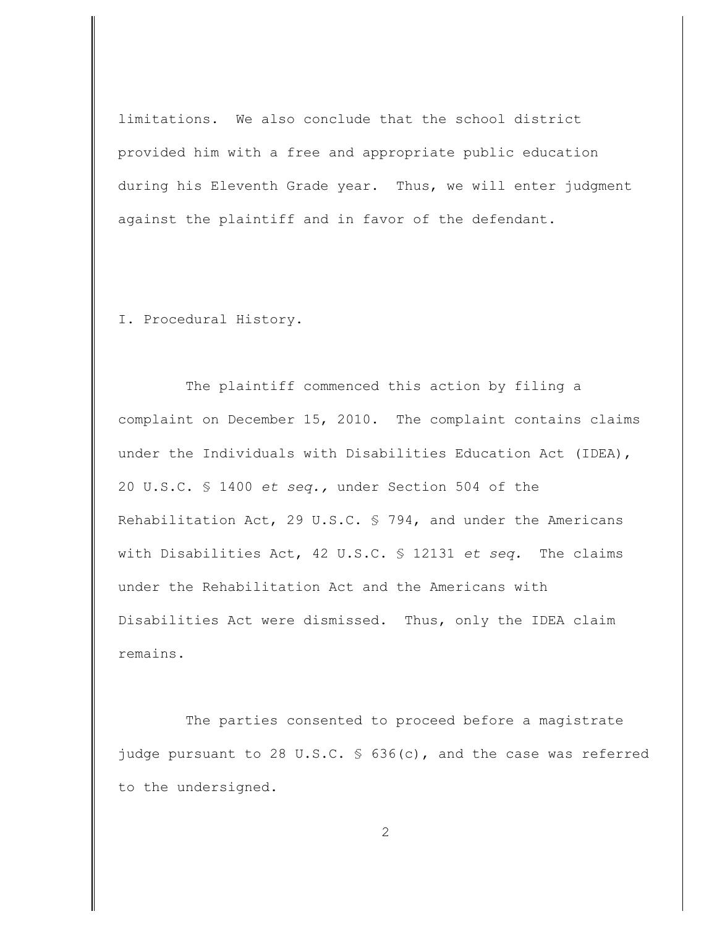limitations. We also conclude that the school district provided him with a free and appropriate public education during his Eleventh Grade year. Thus, we will enter judgment against the plaintiff and in favor of the defendant.

I. Procedural History.

The plaintiff commenced this action by filing a complaint on December 15, 2010. The complaint contains claims under the Individuals with Disabilities Education Act (IDEA), 20 U.S.C. § 1400 *et seq.,* under Section 504 of the Rehabilitation Act, 29 U.S.C. § 794, and under the Americans with Disabilities Act, 42 U.S.C. § 12131 *et seq.* The claims under the Rehabilitation Act and the Americans with Disabilities Act were dismissed. Thus, only the IDEA claim remains.

The parties consented to proceed before a magistrate judge pursuant to 28 U.S.C. § 636(c), and the case was referred to the undersigned.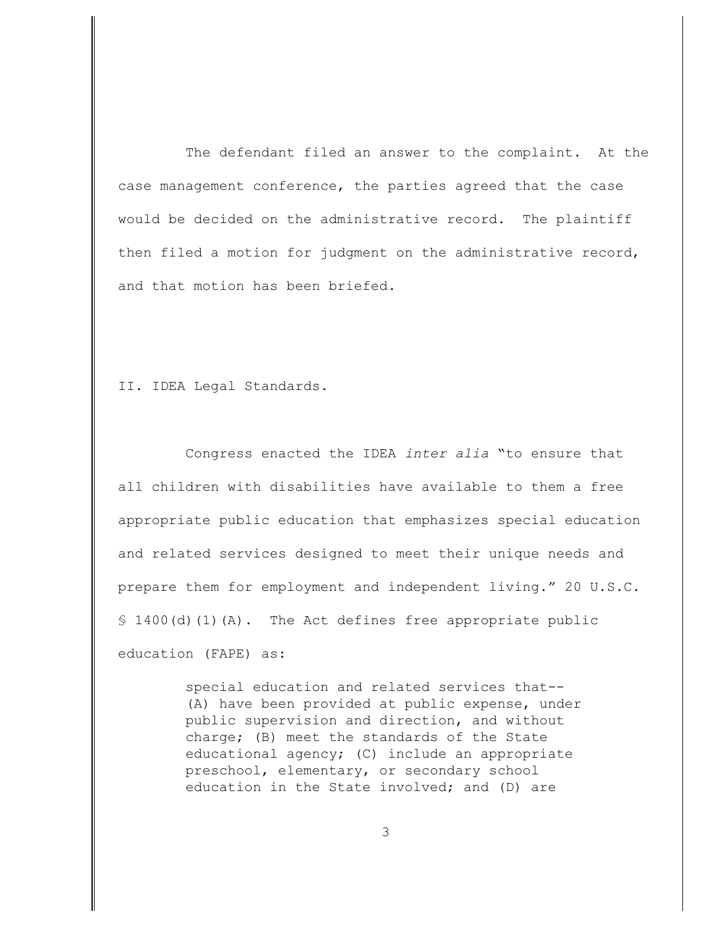The defendant filed an answer to the complaint. At the case management conference, the parties agreed that the case would be decided on the administrative record. The plaintiff then filed a motion for judgment on the administrative record, and that motion has been briefed.

II. IDEA Legal Standards.

Congress enacted the IDEA *inter alia* "to ensure that all children with disabilities have available to them a free appropriate public education that emphasizes special education and related services designed to meet their unique needs and prepare them for employment and independent living." 20 U.S.C.  $$1400(d)(1)(A)$ . The Act defines free appropriate public education (FAPE) as:

> special education and related services that-- (A) have been provided at public expense, under public supervision and direction, and without charge; (B) meet the standards of the State educational agency; (C) include an appropriate preschool, elementary, or secondary school education in the State involved; and (D) are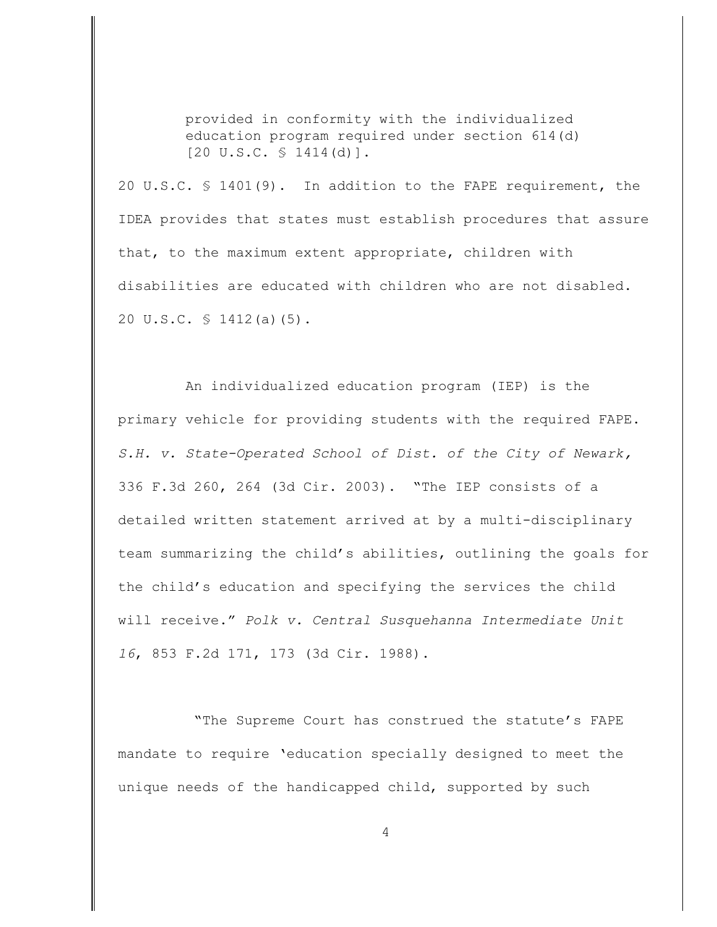provided in conformity with the individualized education program required under section 614(d)  $[20 \text{ U.S.C. } \S 1414 \text{ (d)}].$ 

20 U.S.C. § 1401(9).In addition to the FAPE requirement, the IDEA provides that states must establish procedures that assure that, to the maximum extent appropriate, children with disabilities are educated with children who are not disabled. 20 U.S.C. § 1412(a)(5).

An individualized education program (IEP) is the primary vehicle for providing students with the required FAPE. *S.H. v. State-Operated School of Dist. of the City of Newark,* 336 F.3d 260, 264 (3d Cir. 2003). "The IEP consists of a detailed written statement arrived at by a multi-disciplinary team summarizing the child's abilities, outlining the goals for the child's education and specifying the services the child will receive." *Polk v. Central Susquehanna Intermediate Unit 16*, 853 F.2d 171, 173 (3d Cir. 1988).

 "The Supreme Court has construed the statute's FAPE mandate to require 'education specially designed to meet the unique needs of the handicapped child, supported by such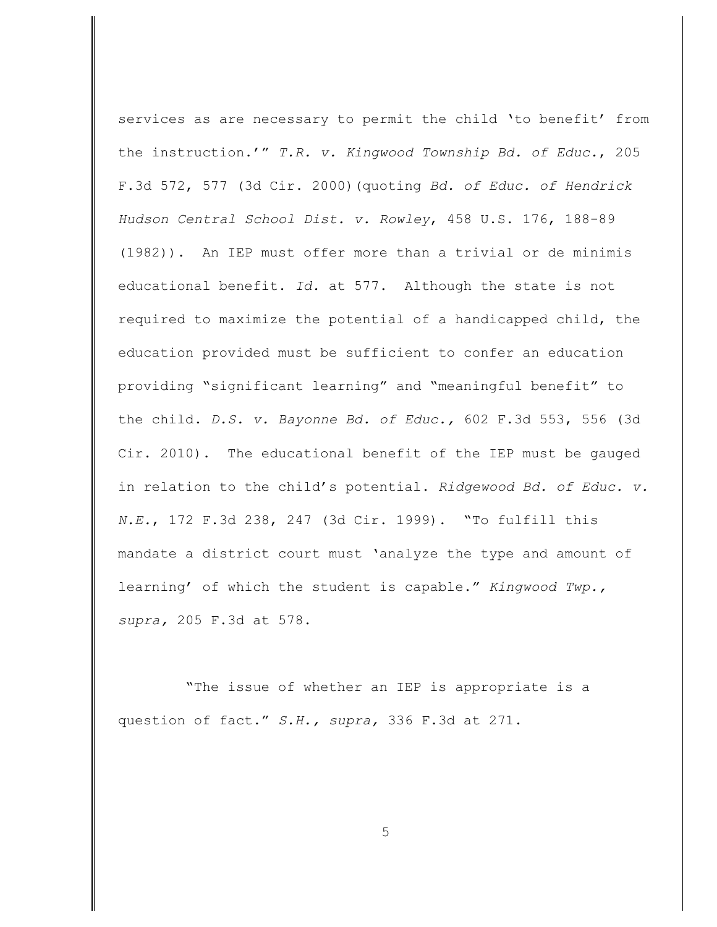services as are necessary to permit the child 'to benefit' from the instruction.'" *T.R. v. Kingwood Township Bd. of Educ.*, 205 F.3d 572, 577 (3d Cir. 2000)(quoting *Bd. of Educ. of Hendrick Hudson Central School Dist. v. Rowley*, 458 U.S. 176, 188-89 (1982)). An IEP must offer more than a trivial or de minimis educational benefit. *Id.* at 577. Although the state is not required to maximize the potential of a handicapped child, the education provided must be sufficient to confer an education providing "significant learning" and "meaningful benefit" to the child. *D.S. v. Bayonne Bd. of Educ.,* 602 F.3d 553, 556 (3d Cir. 2010). The educational benefit of the IEP must be gauged in relation to the child's potential. *Ridgewood Bd. of Educ. v. N.E.*, 172 F.3d 238, 247 (3d Cir. 1999). "To fulfill this mandate a district court must 'analyze the type and amount of learning' of which the student is capable." *Kingwood Twp., supra,* 205 F.3d at 578.

"The issue of whether an IEP is appropriate is a question of fact." *S.H., supra,* 336 F.3d at 271.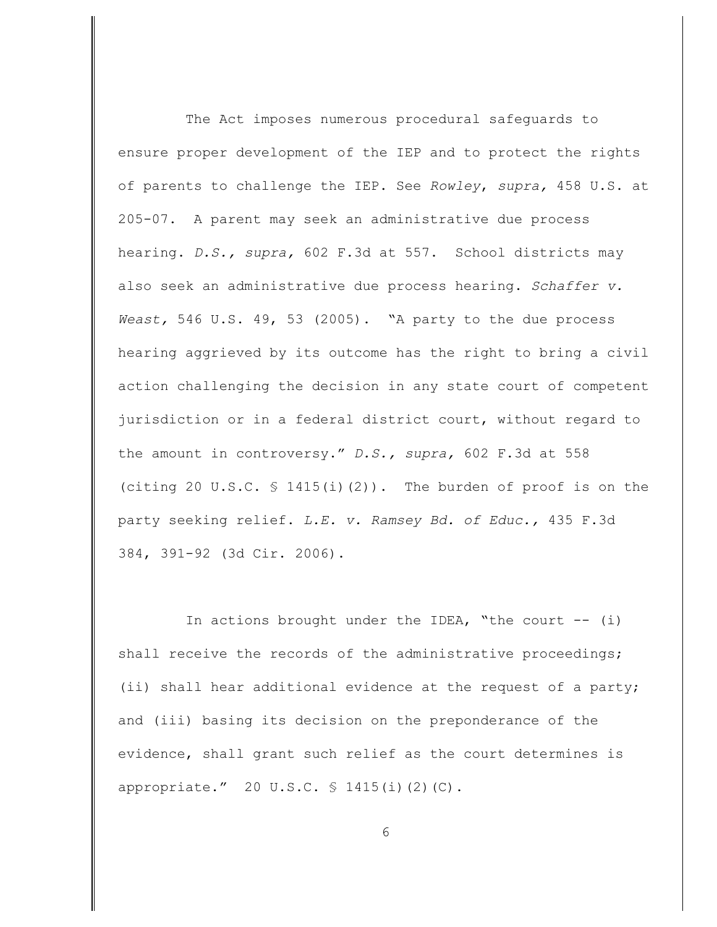The Act imposes numerous procedural safeguards to ensure proper development of the IEP and to protect the rights of parents to challenge the IEP. See *Rowley*, *supra,* 458 U.S. at 205-07. A parent may seek an administrative due process hearing. *D.S., supra,* 602 F.3d at 557. School districts may also seek an administrative due process hearing. *Schaffer v. Weast,* 546 U.S. 49, 53 (2005). "A party to the due process hearing aggrieved by its outcome has the right to bring a civil action challenging the decision in any state court of competent jurisdiction or in a federal district court, without regard to the amount in controversy." *D.S., supra,* 602 F.3d at 558 (citing 20 U.S.C.  $\frac{1415(i)}{2}$ ). The burden of proof is on the party seeking relief. *L.E. v. Ramsey Bd. of Educ.,* 435 F.3d 384, 391-92 (3d Cir. 2006).

In actions brought under the IDEA, "the court  $--$  (i) shall receive the records of the administrative proceedings; (ii) shall hear additional evidence at the request of a party; and (iii) basing its decision on the preponderance of the evidence, shall grant such relief as the court determines is appropriate." 20 U.S.C. § 1415(i)(2)(C).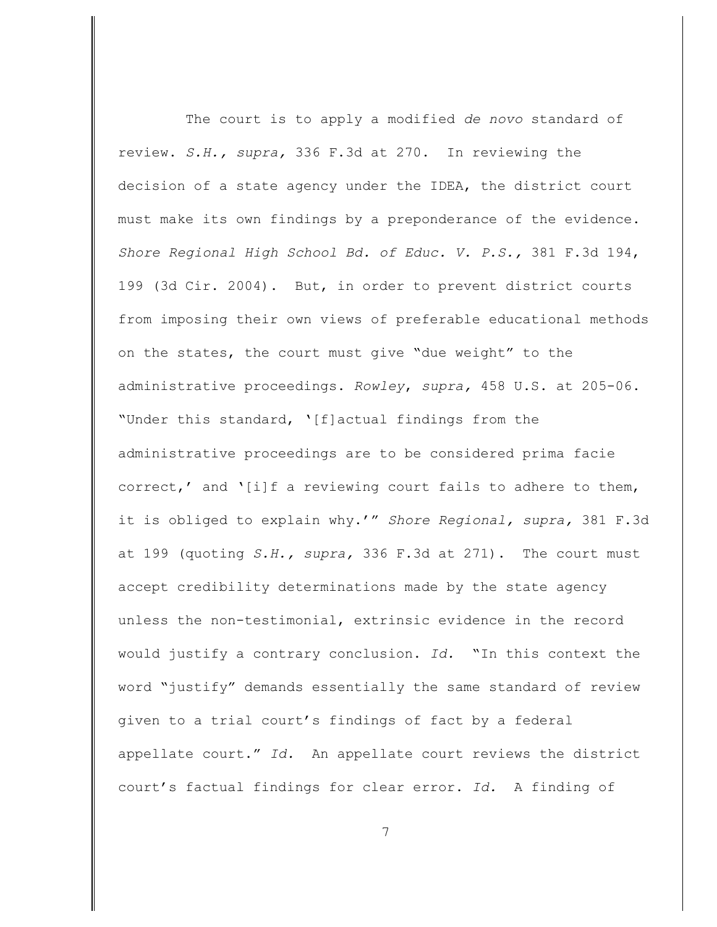The court is to apply a modified *de novo* standard of review. *S.H., supra,* 336 F.3d at 270. In reviewing the decision of a state agency under the IDEA, the district court must make its own findings by a preponderance of the evidence. *Shore Regional High School Bd. of Educ. V. P.S.,* 381 F.3d 194, 199 (3d Cir. 2004). But, in order to prevent district courts from imposing their own views of preferable educational methods on the states, the court must give "due weight" to the administrative proceedings. *Rowley*, *supra,* 458 U.S. at 205-06. "Under this standard, '[f]actual findings from the administrative proceedings are to be considered prima facie correct,' and '[i]f a reviewing court fails to adhere to them, it is obliged to explain why.'" *Shore Regional, supra,* 381 F.3d at 199 (quoting *S.H., supra,* 336 F.3d at 271). The court must accept credibility determinations made by the state agency unless the non-testimonial, extrinsic evidence in the record would justify a contrary conclusion. *Id.* "In this context the word "justify" demands essentially the same standard of review given to a trial court's findings of fact by a federal appellate court." *Id.* An appellate court reviews the district court's factual findings for clear error. *Id.* A finding of

7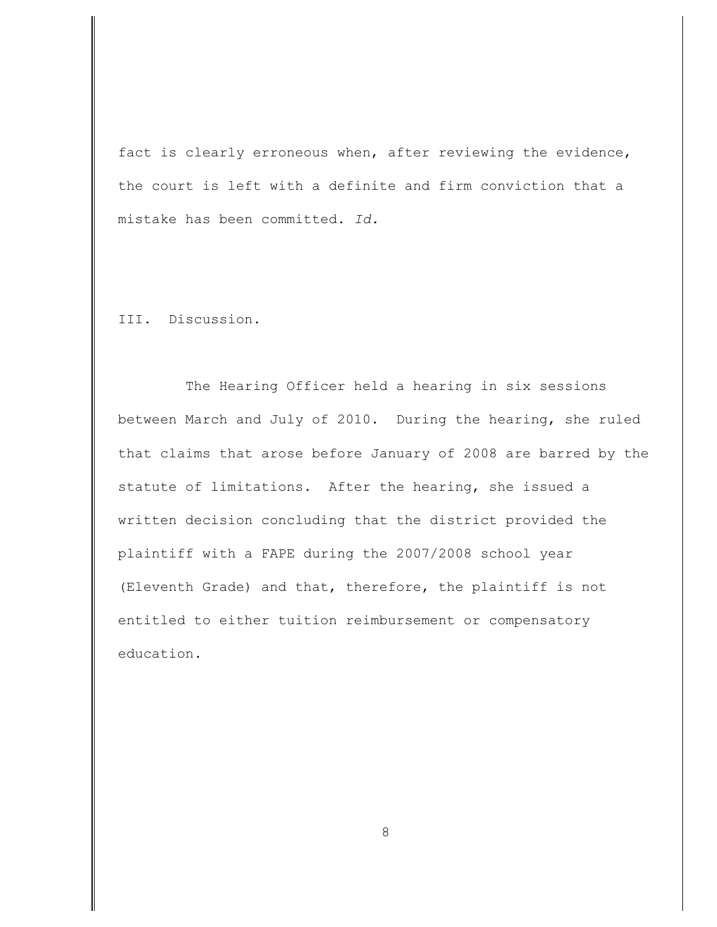fact is clearly erroneous when, after reviewing the evidence, the court is left with a definite and firm conviction that a mistake has been committed. *Id.*

III. Discussion.

The Hearing Officer held a hearing in six sessions between March and July of 2010. During the hearing, she ruled that claims that arose before January of 2008 are barred by the statute of limitations. After the hearing, she issued a written decision concluding that the district provided the plaintiff with a FAPE during the 2007/2008 school year (Eleventh Grade) and that, therefore, the plaintiff is not entitled to either tuition reimbursement or compensatory education.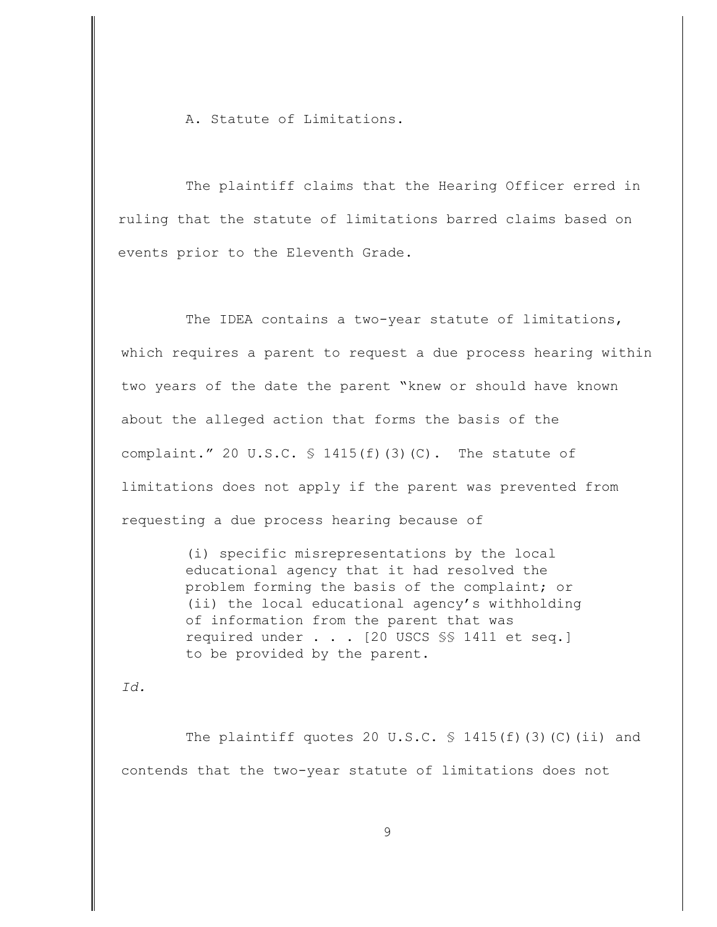A. Statute of Limitations.

The plaintiff claims that the Hearing Officer erred in ruling that the statute of limitations barred claims based on events prior to the Eleventh Grade.

The IDEA contains a two-year statute of limitations, which requires a parent to request a due process hearing within two years of the date the parent "knew or should have known about the alleged action that forms the basis of the complaint." 20 U.S.C.  $\frac{1415(f)}{3}$  (C). The statute of limitations does not apply if the parent was prevented from requesting a due process hearing because of

> (i) specific misrepresentations by the local educational agency that it had resolved the problem forming the basis of the complaint; or (ii) the local educational agency's withholding of information from the parent that was required under . . . [20 USCS §§ 1411 et seq.] to be provided by the parent.

*Id.* 

The plaintiff quotes 20 U.S.C.  $\frac{1415(f)}{f}$  (3)(C)(ii) and contends that the two-year statute of limitations does not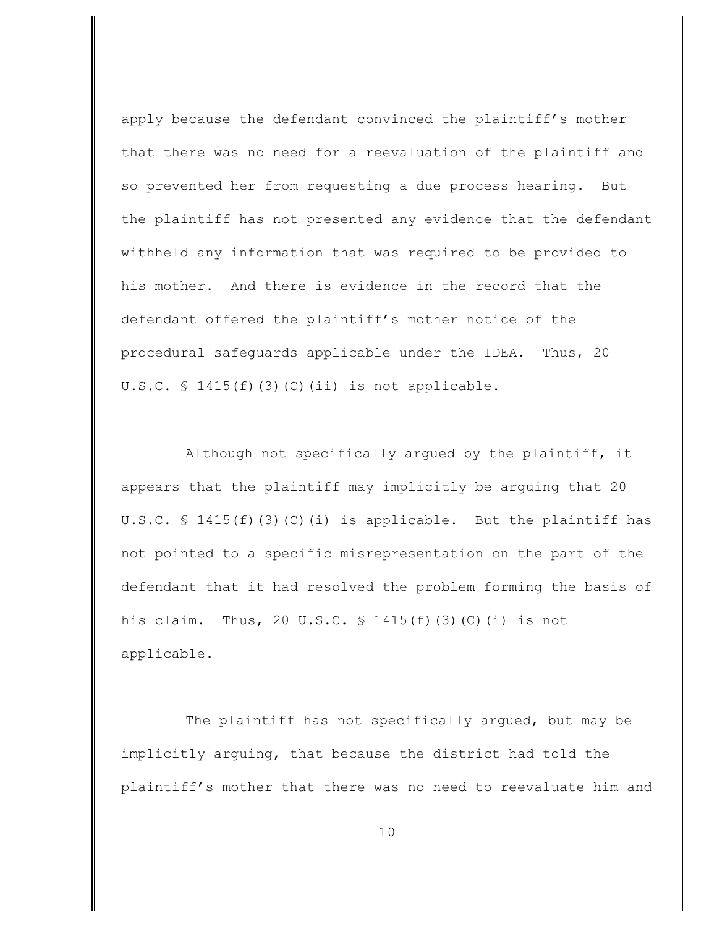apply because the defendant convinced the plaintiff's mother that there was no need for a reevaluation of the plaintiff and so prevented her from requesting a due process hearing. But the plaintiff has not presented any evidence that the defendant withheld any information that was required to be provided to his mother. And there is evidence in the record that the defendant offered the plaintiff's mother notice of the procedural safeguards applicable under the IDEA. Thus, 20 U.S.C.  $\frac{1415(f)}{3}(c)$  (C)(ii) is not applicable.

Although not specifically argued by the plaintiff, it appears that the plaintiff may implicitly be arguing that 20 U.S.C.  $\Im$  1415(f)(3)(C)(i) is applicable. But the plaintiff has not pointed to a specific misrepresentation on the part of the defendant that it had resolved the problem forming the basis of his claim. Thus, 20 U.S.C. § 1415(f)(3)(C)(i) is not applicable.

The plaintiff has not specifically argued, but may be implicitly arguing, that because the district had told the plaintiff's mother that there was no need to reevaluate him and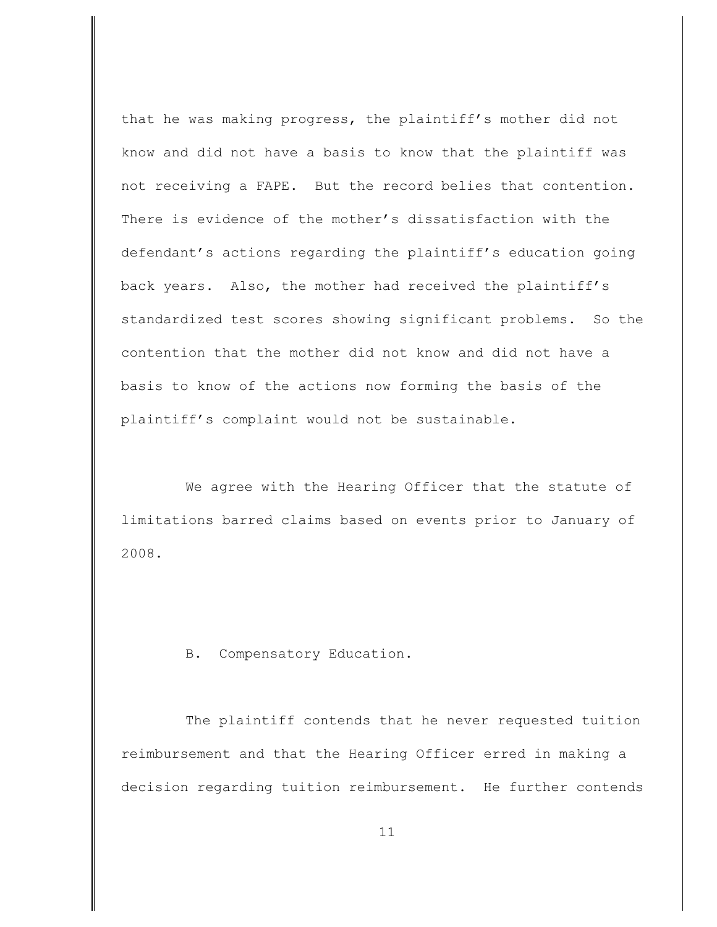that he was making progress, the plaintiff's mother did not know and did not have a basis to know that the plaintiff was not receiving a FAPE. But the record belies that contention. There is evidence of the mother's dissatisfaction with the defendant's actions regarding the plaintiff's education going back years. Also, the mother had received the plaintiff's standardized test scores showing significant problems. So the contention that the mother did not know and did not have a basis to know of the actions now forming the basis of the plaintiff's complaint would not be sustainable.

We agree with the Hearing Officer that the statute of limitations barred claims based on events prior to January of 2008.

B. Compensatory Education.

The plaintiff contends that he never requested tuition reimbursement and that the Hearing Officer erred in making a decision regarding tuition reimbursement. He further contends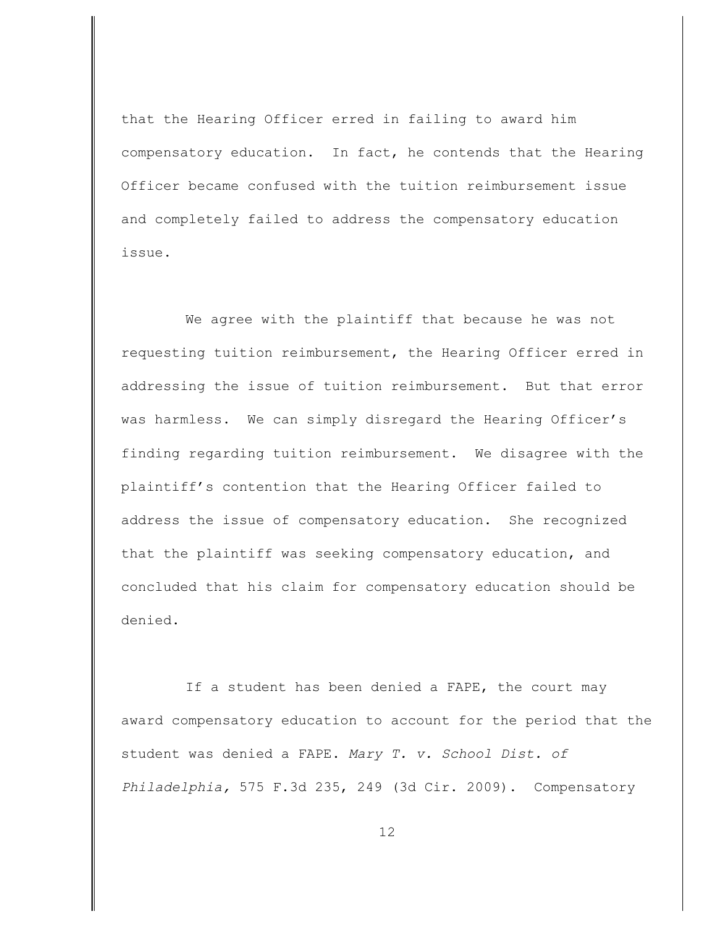that the Hearing Officer erred in failing to award him compensatory education. In fact, he contends that the Hearing Officer became confused with the tuition reimbursement issue and completely failed to address the compensatory education issue.

We agree with the plaintiff that because he was not requesting tuition reimbursement, the Hearing Officer erred in addressing the issue of tuition reimbursement. But that error was harmless. We can simply disregard the Hearing Officer's finding regarding tuition reimbursement. We disagree with the plaintiff's contention that the Hearing Officer failed to address the issue of compensatory education. She recognized that the plaintiff was seeking compensatory education, and concluded that his claim for compensatory education should be denied.

If a student has been denied a FAPE, the court may award compensatory education to account for the period that the student was denied a FAPE. *Mary T. v. School Dist. of Philadelphia,* 575 F.3d 235, 249 (3d Cir. 2009). Compensatory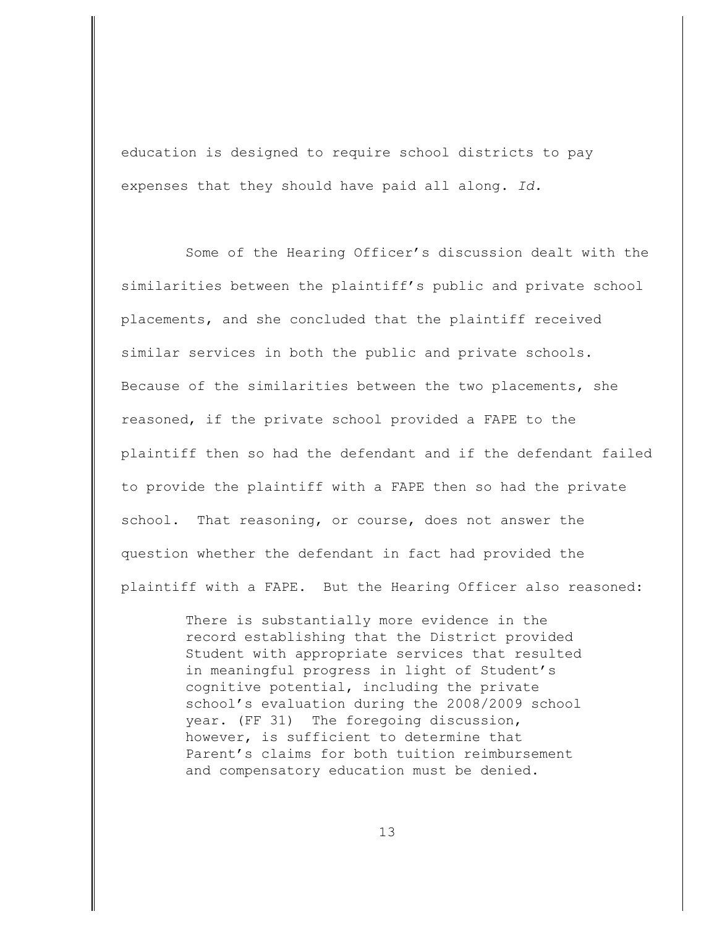education is designed to require school districts to pay expenses that they should have paid all along. *Id.* 

Some of the Hearing Officer's discussion dealt with the similarities between the plaintiff's public and private school placements, and she concluded that the plaintiff received similar services in both the public and private schools. Because of the similarities between the two placements, she reasoned, if the private school provided a FAPE to the plaintiff then so had the defendant and if the defendant failed to provide the plaintiff with a FAPE then so had the private school. That reasoning, or course, does not answer the question whether the defendant in fact had provided the plaintiff with a FAPE. But the Hearing Officer also reasoned:

> There is substantially more evidence in the record establishing that the District provided Student with appropriate services that resulted in meaningful progress in light of Student's cognitive potential, including the private school's evaluation during the 2008/2009 school year. (FF 31) The foregoing discussion, however, is sufficient to determine that Parent's claims for both tuition reimbursement and compensatory education must be denied.

> > 13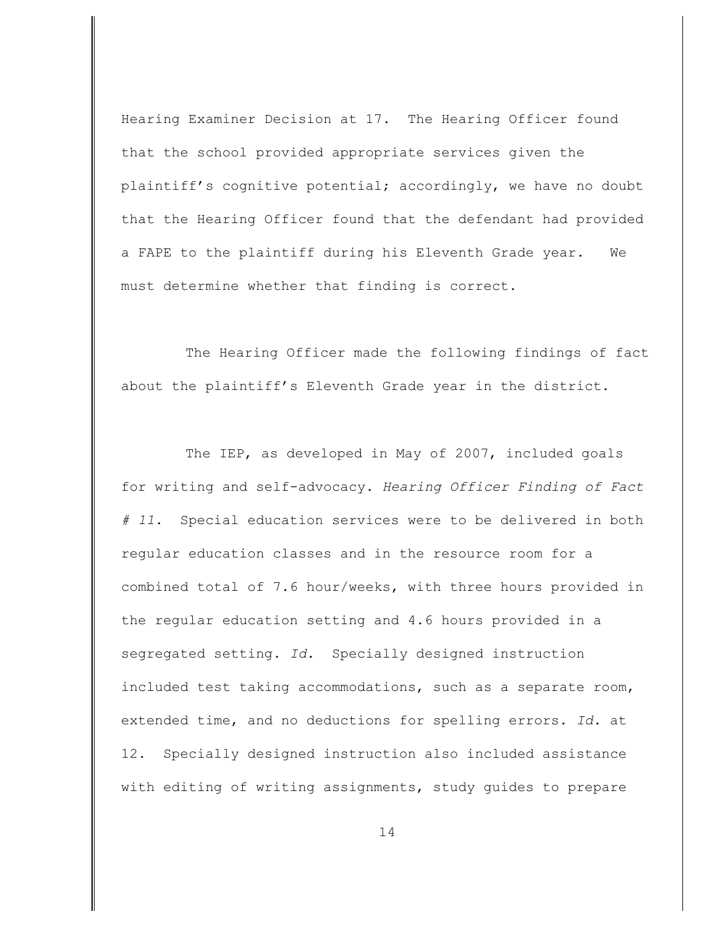Hearing Examiner Decision at 17. The Hearing Officer found that the school provided appropriate services given the plaintiff's cognitive potential; accordingly, we have no doubt that the Hearing Officer found that the defendant had provided a FAPE to the plaintiff during his Eleventh Grade year. We must determine whether that finding is correct.

The Hearing Officer made the following findings of fact about the plaintiff's Eleventh Grade year in the district.

The IEP, as developed in May of 2007, included goals for writing and self-advocacy. *Hearing Officer Finding of Fact # 11.* Special education services were to be delivered in both regular education classes and in the resource room for a combined total of 7.6 hour/weeks, with three hours provided in the regular education setting and 4.6 hours provided in a segregated setting. *Id.* Specially designed instruction included test taking accommodations, such as a separate room, extended time, and no deductions for spelling errors. *Id.* at 12. Specially designed instruction also included assistance with editing of writing assignments, study guides to prepare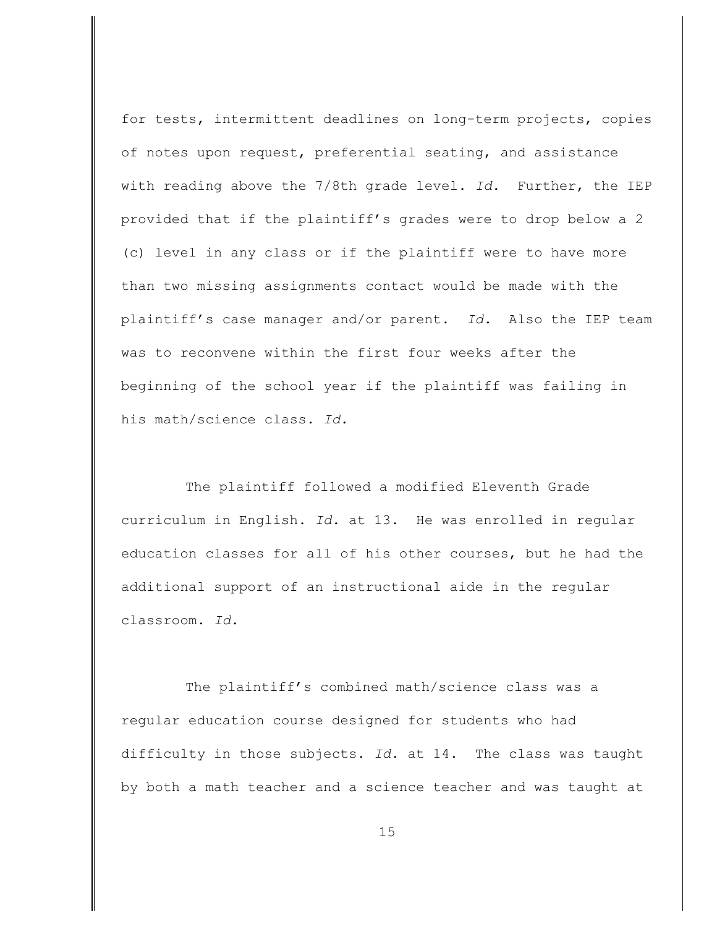for tests, intermittent deadlines on long-term projects, copies of notes upon request, preferential seating, and assistance with reading above the 7/8th grade level. *Id.* Further, the IEP provided that if the plaintiff's grades were to drop below a 2 (c) level in any class or if the plaintiff were to have more than two missing assignments contact would be made with the plaintiff's case manager and/or parent. *Id.* Also the IEP team was to reconvene within the first four weeks after the beginning of the school year if the plaintiff was failing in his math/science class. *Id.*

The plaintiff followed a modified Eleventh Grade curriculum in English. *Id.* at 13. He was enrolled in regular education classes for all of his other courses, but he had the additional support of an instructional aide in the regular classroom. *Id.*

The plaintiff's combined math/science class was a regular education course designed for students who had difficulty in those subjects. *Id.* at 14. The class was taught by both a math teacher and a science teacher and was taught at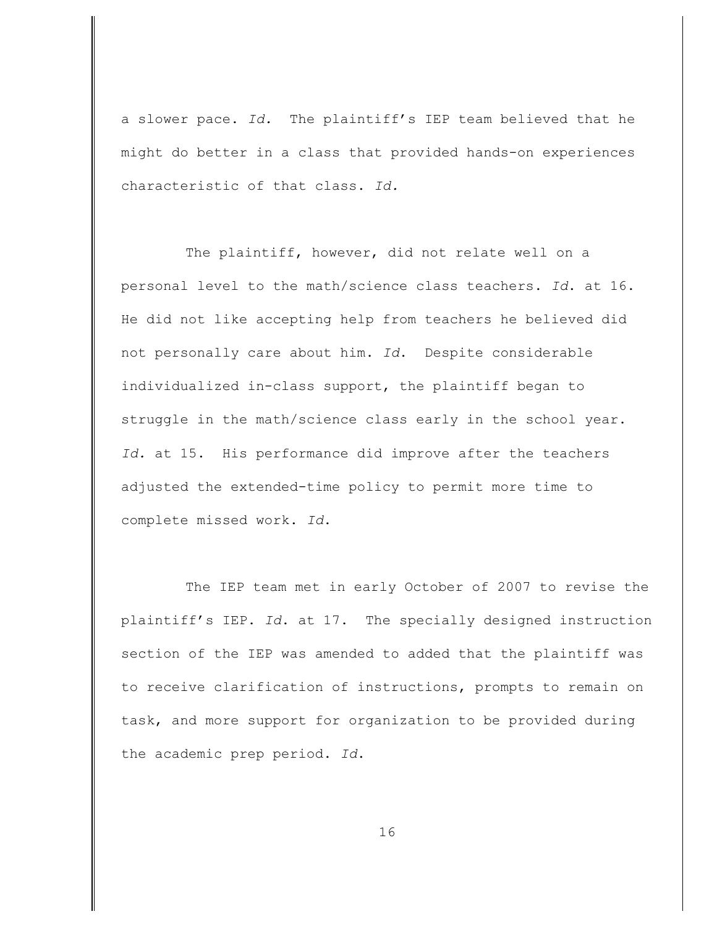a slower pace. *Id.* The plaintiff's IEP team believed that he might do better in a class that provided hands-on experiences characteristic of that class. *Id.*

The plaintiff, however, did not relate well on a personal level to the math/science class teachers. *Id*. at 16. He did not like accepting help from teachers he believed did not personally care about him. *Id*. Despite considerable individualized in-class support, the plaintiff began to struggle in the math/science class early in the school year. *Id.* at 15. His performance did improve after the teachers adjusted the extended-time policy to permit more time to complete missed work. *Id*.

The IEP team met in early October of 2007 to revise the plaintiff's IEP. *Id*. at 17. The specially designed instruction section of the IEP was amended to added that the plaintiff was to receive clarification of instructions, prompts to remain on task, and more support for organization to be provided during the academic prep period. *Id*.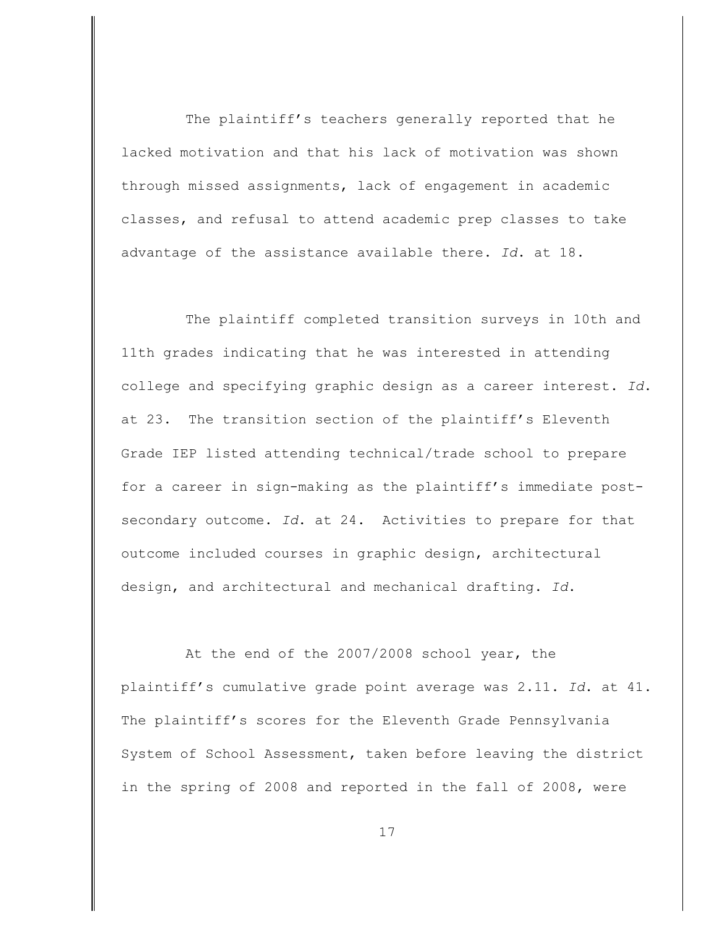The plaintiff's teachers generally reported that he lacked motivation and that his lack of motivation was shown through missed assignments, lack of engagement in academic classes, and refusal to attend academic prep classes to take advantage of the assistance available there. *Id*. at 18.

The plaintiff completed transition surveys in 10th and 11th grades indicating that he was interested in attending college and specifying graphic design as a career interest. *Id*. at 23. The transition section of the plaintiff's Eleventh Grade IEP listed attending technical/trade school to prepare for a career in sign-making as the plaintiff's immediate postsecondary outcome. *Id*. at 24. Activities to prepare for that outcome included courses in graphic design, architectural design, and architectural and mechanical drafting. *Id*.

At the end of the 2007/2008 school year, the plaintiff's cumulative grade point average was 2.11. *Id*. at 41. The plaintiff's scores for the Eleventh Grade Pennsylvania System of School Assessment, taken before leaving the district in the spring of 2008 and reported in the fall of 2008, were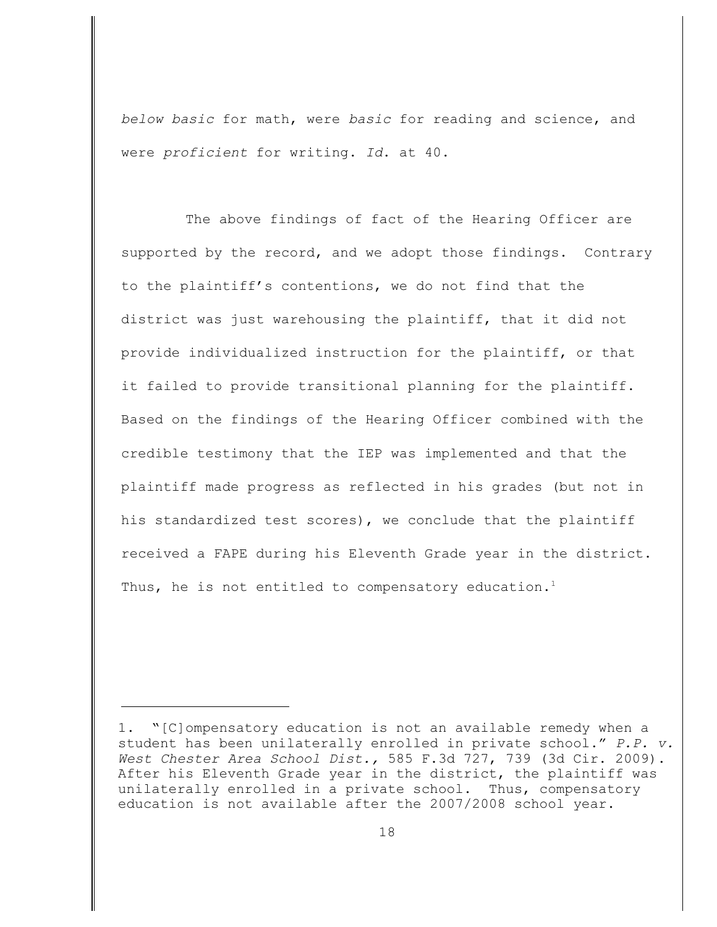*below basic* for math, were *basic* for reading and science, and were *proficient* for writing. *Id*. at 40.

The above findings of fact of the Hearing Officer are supported by the record, and we adopt those findings. Contrary to the plaintiff's contentions, we do not find that the district was just warehousing the plaintiff, that it did not provide individualized instruction for the plaintiff, or that it failed to provide transitional planning for the plaintiff. Based on the findings of the Hearing Officer combined with the credible testimony that the IEP was implemented and that the plaintiff made progress as reflected in his grades (but not in his standardized test scores), we conclude that the plaintiff received a FAPE during his Eleventh Grade year in the district. Thus, he is not entitled to compensatory education.<sup>1</sup>

<sup>1. &</sup>quot;[C]ompensatory education is not an available remedy when a student has been unilaterally enrolled in private school." *P.P. v. West Chester Area School Dist.,* 585 F.3d 727, 739 (3d Cir. 2009). After his Eleventh Grade year in the district, the plaintiff was unilaterally enrolled in a private school. Thus, compensatory education is not available after the 2007/2008 school year.